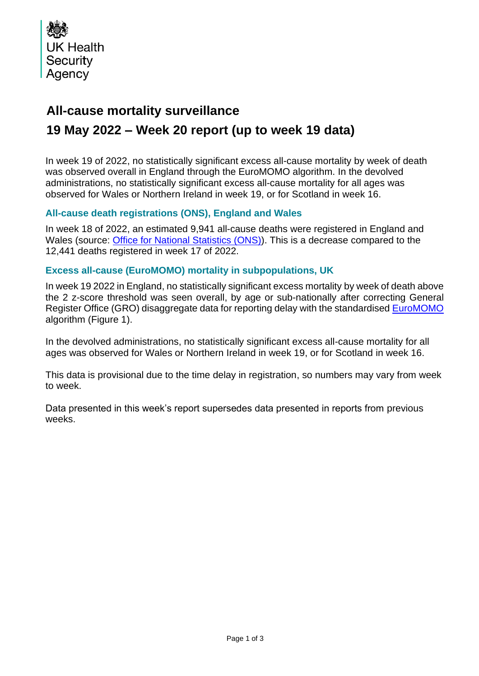

## **All-cause mortality surveillance**

# **19 May 2022 – Week 20 report (up to week 19 data)**

In week 19 of 2022, no statistically significant excess all-cause mortality by week of death was observed overall in England through the EuroMOMO algorithm. In the devolved administrations, no statistically significant excess all-cause mortality for all ages was observed for Wales or Northern Ireland in week 19, or for Scotland in week 16.

## **All-cause death registrations (ONS), England and Wales**

In week 18 of 2022, an estimated 9,941 all-cause deaths were registered in England and Wales (source: [Office for National Statistics](http://www.ons.gov.uk/peoplepopulationandcommunity/birthsdeathsandmarriages/deaths/datasets/weeklyprovisionalfiguresondeathsregisteredinenglandandwales) (ONS)). This is a decrease compared to the 12,441 deaths registered in week 17 of 2022.

### **Excess all-cause (EuroMOMO) mortality in subpopulations, UK**

In week 19 2022 in England, no statistically significant excess mortality by week of death above the 2 z-score threshold was seen overall, by age or sub-nationally after correcting General Register Office (GRO) disaggregate data for reporting delay with the standardised [EuroMOMO](http://www.euromomo.eu/) algorithm (Figure 1).

In the devolved administrations, no statistically significant excess all-cause mortality for all ages was observed for Wales or Northern Ireland in week 19, or for Scotland in week 16.

This data is provisional due to the time delay in registration, so numbers may vary from week to week.

Data presented in this week's report supersedes data presented in reports from previous weeks.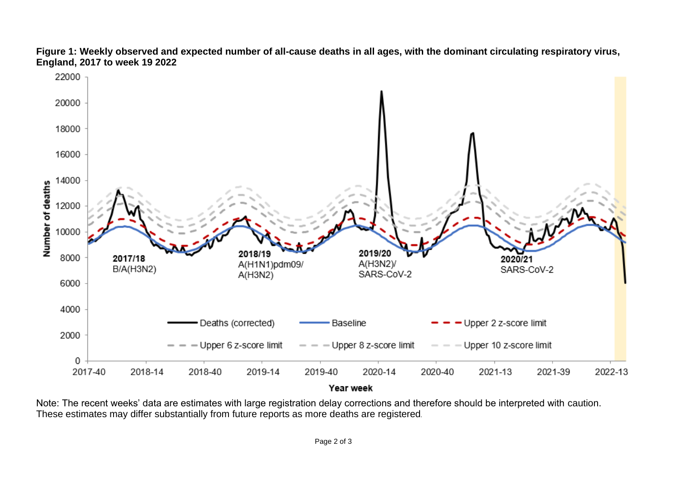

**Figure 1: Weekly observed and expected number of all-cause deaths in all ages, with the dominant circulating respiratory virus, England, 2017 to week 19 2022**

Year week

Note: The recent weeks' data are estimates with large registration delay corrections and therefore should be interpreted with caution. These estimates may differ substantially from future reports as more deaths are registered*.*